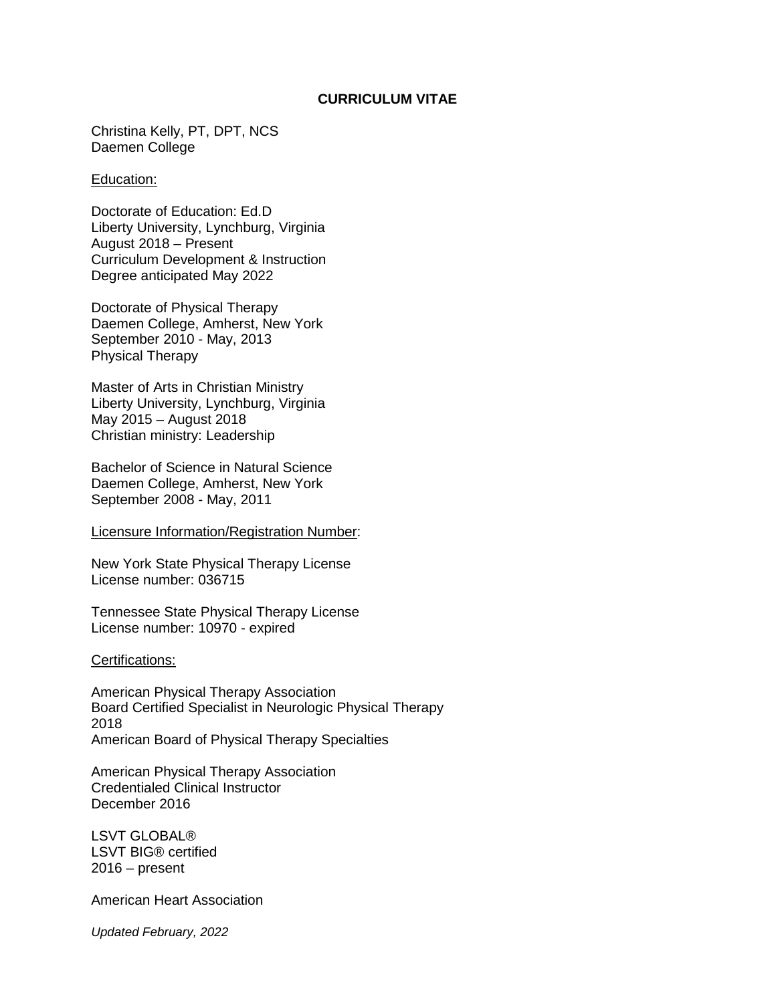## **CURRICULUM VITAE**

Christina Kelly, PT, DPT, NCS Daemen College

#### Education:

Doctorate of Education: Ed.D Liberty University, Lynchburg, Virginia August 2018 – Present Curriculum Development & Instruction Degree anticipated May 2022

Doctorate of Physical Therapy Daemen College, Amherst, New York September 2010 - May, 2013 Physical Therapy

Master of Arts in Christian Ministry Liberty University, Lynchburg, Virginia May 2015 – August 2018 Christian ministry: Leadership

Bachelor of Science in Natural Science Daemen College, Amherst, New York September 2008 - May, 2011

#### Licensure Information/Registration Number:

New York State Physical Therapy License License number: 036715

Tennessee State Physical Therapy License License number: 10970 - expired

#### Certifications:

American Physical Therapy Association Board Certified Specialist in Neurologic Physical Therapy 2018 American Board of Physical Therapy Specialties

American Physical Therapy Association Credentialed Clinical Instructor December 2016

LSVT GLOBAL® LSVT BIG® certified 2016 – present

American Heart Association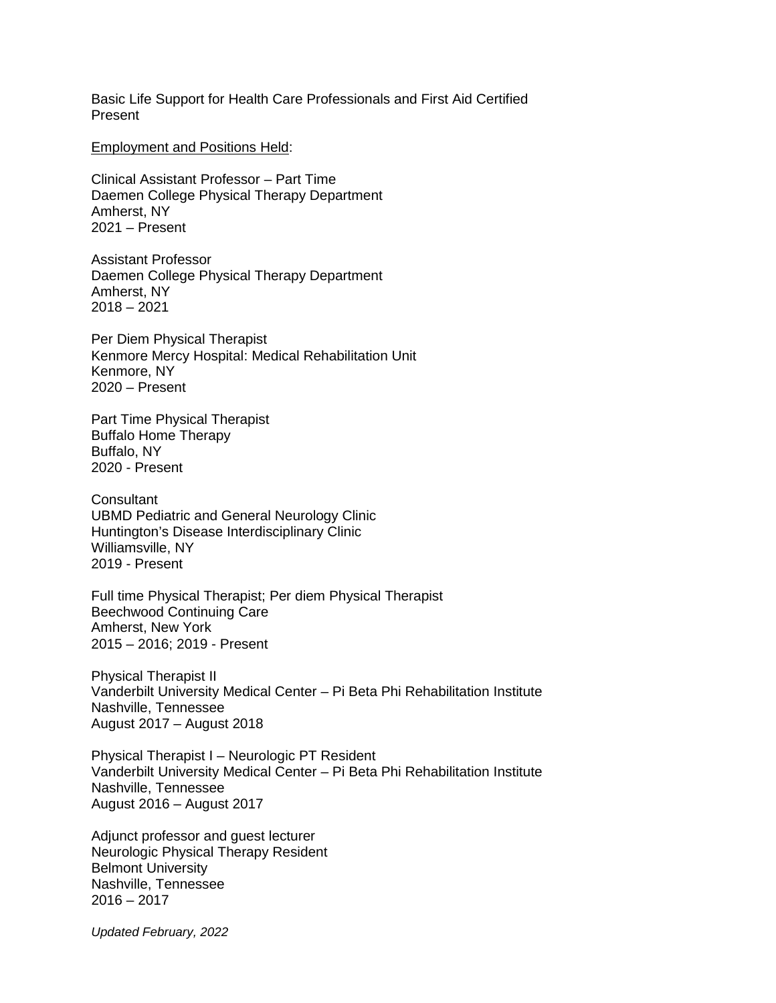Basic Life Support for Health Care Professionals and First Aid Certified Present

Employment and Positions Held:

Clinical Assistant Professor – Part Time Daemen College Physical Therapy Department Amherst, NY 2021 – Present

Assistant Professor Daemen College Physical Therapy Department Amherst, NY 2018 – 2021

Per Diem Physical Therapist Kenmore Mercy Hospital: Medical Rehabilitation Unit Kenmore, NY 2020 – Present

Part Time Physical Therapist Buffalo Home Therapy Buffalo, NY 2020 - Present

**Consultant** UBMD Pediatric and General Neurology Clinic Huntington's Disease Interdisciplinary Clinic Williamsville, NY 2019 - Present

Full time Physical Therapist; Per diem Physical Therapist Beechwood Continuing Care Amherst, New York 2015 – 2016; 2019 - Present

Physical Therapist II Vanderbilt University Medical Center – Pi Beta Phi Rehabilitation Institute Nashville, Tennessee August 2017 – August 2018

Physical Therapist I – Neurologic PT Resident Vanderbilt University Medical Center – Pi Beta Phi Rehabilitation Institute Nashville, Tennessee August 2016 – August 2017

Adjunct professor and guest lecturer Neurologic Physical Therapy Resident Belmont University Nashville, Tennessee  $2016 - 2017$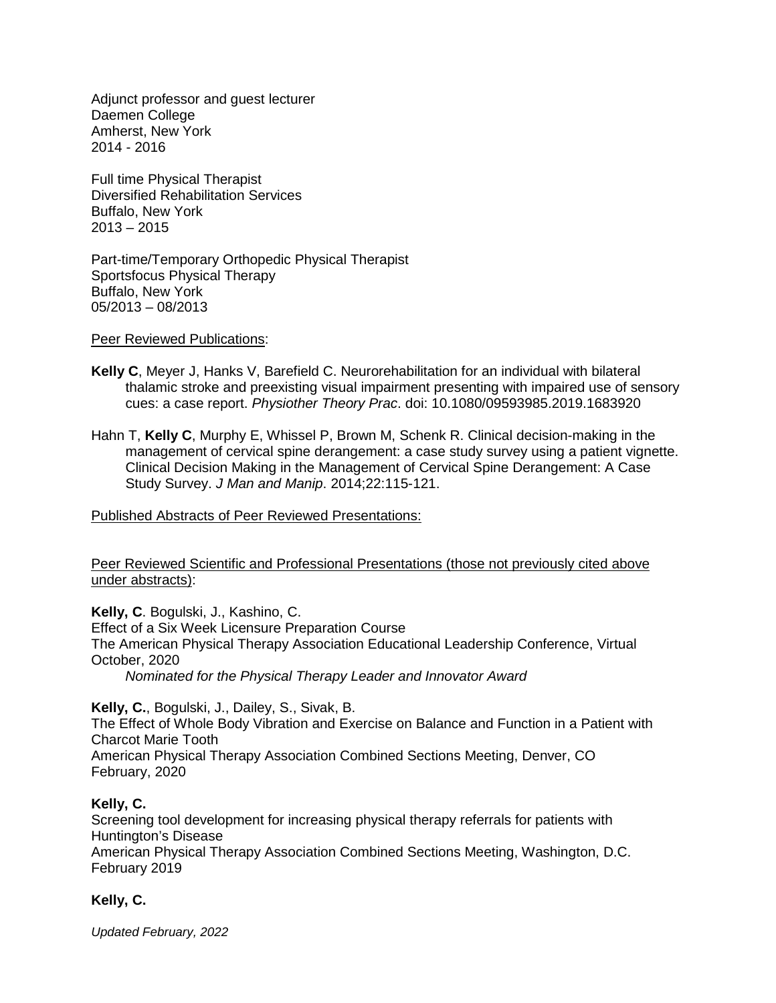Adjunct professor and guest lecturer Daemen College Amherst, New York 2014 - 2016

Full time Physical Therapist Diversified Rehabilitation Services Buffalo, New York  $2013 - 2015$ 

Part-time/Temporary Orthopedic Physical Therapist Sportsfocus Physical Therapy Buffalo, New York 05/2013 – 08/2013

Peer Reviewed Publications:

- **Kelly C**, Meyer J, Hanks V, Barefield C. Neurorehabilitation for an individual with bilateral thalamic stroke and preexisting visual impairment presenting with impaired use of sensory cues: a case report. *Physiother Theory Prac*. doi: 10.1080/09593985.2019.1683920
- Hahn T, **Kelly C**, Murphy E, Whissel P, Brown M, Schenk R. Clinical decision-making in the management of cervical spine derangement: a case study survey using a patient vignette. Clinical Decision Making in the Management of Cervical Spine Derangement: A Case Study Survey. *J Man and Manip*. 2014;22:115-121.

Published Abstracts of Peer Reviewed Presentations:

Peer Reviewed Scientific and Professional Presentations (those not previously cited above under abstracts):

**Kelly, C**. Bogulski, J., Kashino, C. Effect of a Six Week Licensure Preparation Course The American Physical Therapy Association Educational Leadership Conference, Virtual October, 2020

*Nominated for the Physical Therapy Leader and Innovator Award*

**Kelly, C.**, Bogulski, J., Dailey, S., Sivak, B.

The Effect of Whole Body Vibration and Exercise on Balance and Function in a Patient with Charcot Marie Tooth

American Physical Therapy Association Combined Sections Meeting, Denver, CO February, 2020

## **Kelly, C.**

Screening tool development for increasing physical therapy referrals for patients with Huntington's Disease

American Physical Therapy Association Combined Sections Meeting, Washington, D.C. February 2019

## **Kelly, C.**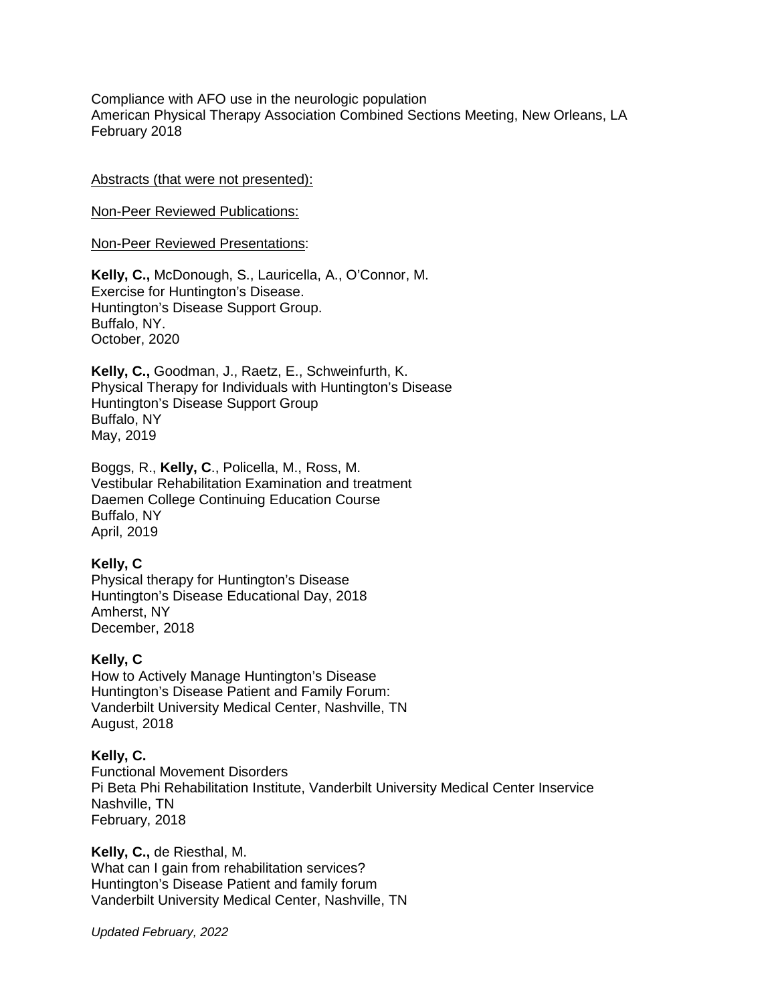Compliance with AFO use in the neurologic population American Physical Therapy Association Combined Sections Meeting, New Orleans, LA February 2018

#### Abstracts (that were not presented):

Non-Peer Reviewed Publications:

Non-Peer Reviewed Presentations:

**Kelly, C.,** McDonough, S., Lauricella, A., O'Connor, M. Exercise for Huntington's Disease. Huntington's Disease Support Group. Buffalo, NY. October, 2020

**Kelly, C.,** Goodman, J., Raetz, E., Schweinfurth, K. Physical Therapy for Individuals with Huntington's Disease Huntington's Disease Support Group Buffalo, NY May, 2019

Boggs, R., **Kelly, C**., Policella, M., Ross, M. Vestibular Rehabilitation Examination and treatment Daemen College Continuing Education Course Buffalo, NY April, 2019

## **Kelly, C**

Physical therapy for Huntington's Disease Huntington's Disease Educational Day, 2018 Amherst, NY December, 2018

## **Kelly, C**

How to Actively Manage Huntington's Disease Huntington's Disease Patient and Family Forum: Vanderbilt University Medical Center, Nashville, TN August, 2018

## **Kelly, C.**

Functional Movement Disorders Pi Beta Phi Rehabilitation Institute, Vanderbilt University Medical Center Inservice Nashville, TN February, 2018

**Kelly, C.,** de Riesthal, M. What can I gain from rehabilitation services? Huntington's Disease Patient and family forum Vanderbilt University Medical Center, Nashville, TN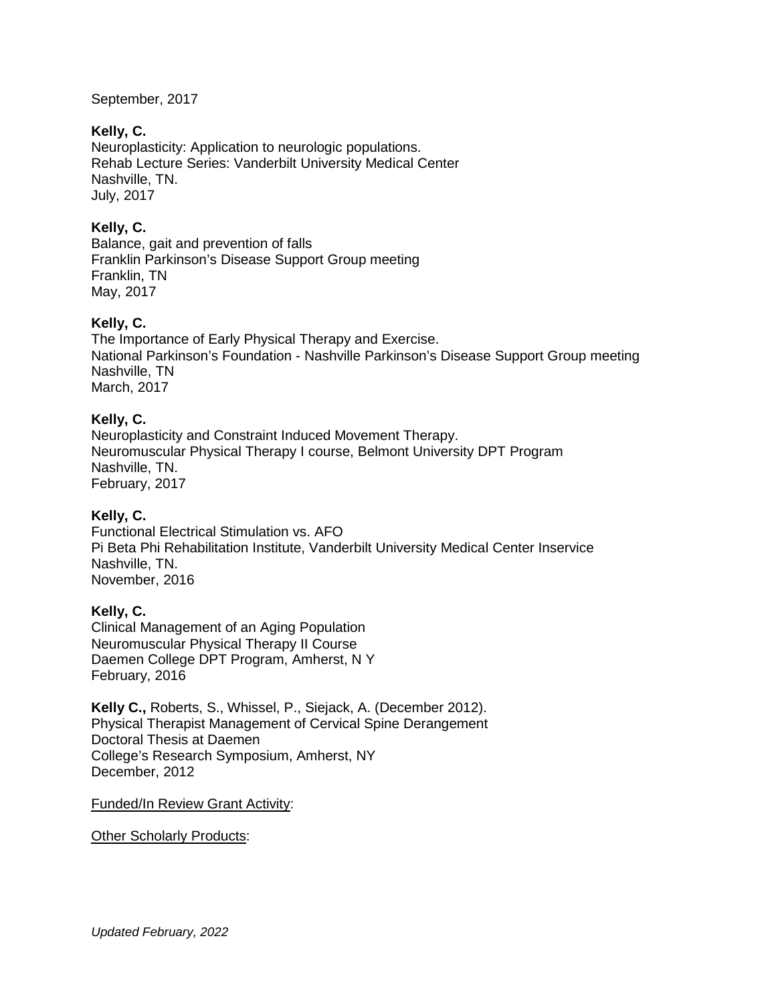September, 2017

## **Kelly, C.**

Neuroplasticity: Application to neurologic populations. Rehab Lecture Series: Vanderbilt University Medical Center Nashville, TN. July, 2017

# **Kelly, C.**

Balance, gait and prevention of falls Franklin Parkinson's Disease Support Group meeting Franklin, TN May, 2017

## **Kelly, C.**

The Importance of Early Physical Therapy and Exercise. National Parkinson's Foundation - Nashville Parkinson's Disease Support Group meeting Nashville, TN March, 2017

## **Kelly, C.**

Neuroplasticity and Constraint Induced Movement Therapy. Neuromuscular Physical Therapy I course, Belmont University DPT Program Nashville, TN. February, 2017

## **Kelly, C.**

Functional Electrical Stimulation vs. AFO Pi Beta Phi Rehabilitation Institute, Vanderbilt University Medical Center Inservice Nashville, TN. November, 2016

## **Kelly, C.**

Clinical Management of an Aging Population Neuromuscular Physical Therapy II Course Daemen College DPT Program, Amherst, N Y February, 2016

**Kelly C.,** Roberts, S., Whissel, P., Siejack, A. (December 2012). Physical Therapist Management of Cervical Spine Derangement Doctoral Thesis at Daemen College's Research Symposium, Amherst, NY December, 2012

Funded/In Review Grant Activity:

Other Scholarly Products: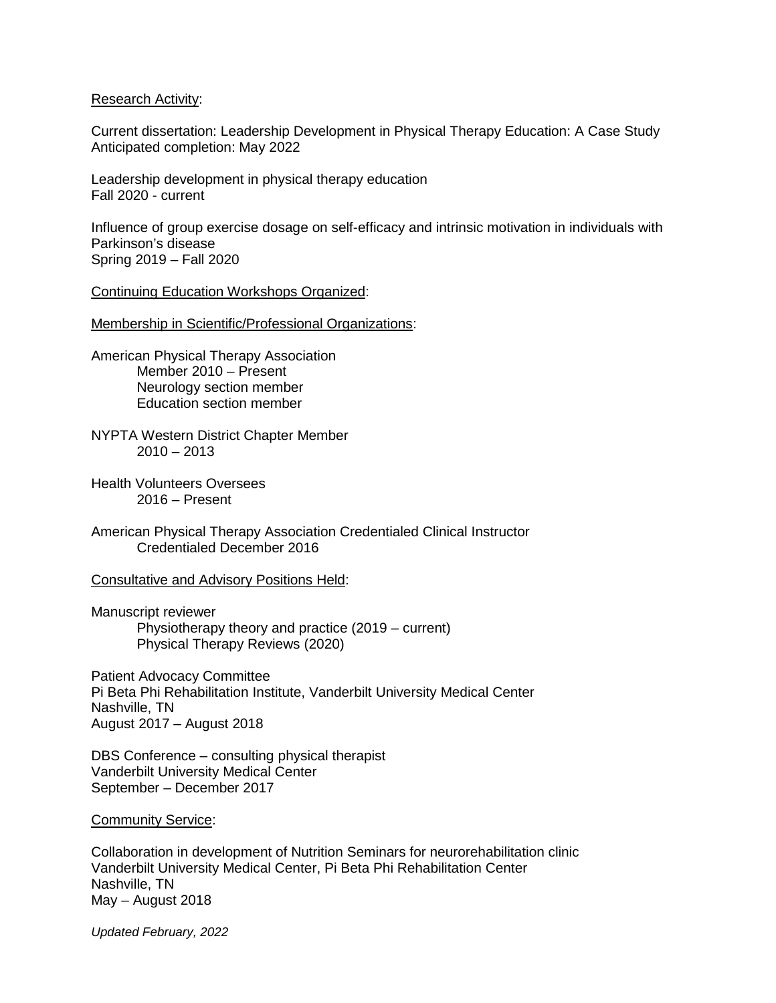#### Research Activity:

Current dissertation: Leadership Development in Physical Therapy Education: A Case Study Anticipated completion: May 2022

Leadership development in physical therapy education Fall 2020 - current

Influence of group exercise dosage on self-efficacy and intrinsic motivation in individuals with Parkinson's disease Spring 2019 – Fall 2020

Continuing Education Workshops Organized:

Membership in Scientific/Professional Organizations:

- American Physical Therapy Association Member 2010 – Present Neurology section member Education section member
- NYPTA Western District Chapter Member  $2010 - 2013$
- Health Volunteers Oversees 2016 – Present
- American Physical Therapy Association Credentialed Clinical Instructor Credentialed December 2016

Consultative and Advisory Positions Held:

Manuscript reviewer Physiotherapy theory and practice (2019 – current) Physical Therapy Reviews (2020)

Patient Advocacy Committee Pi Beta Phi Rehabilitation Institute, Vanderbilt University Medical Center Nashville, TN August 2017 – August 2018

DBS Conference – consulting physical therapist Vanderbilt University Medical Center September – December 2017

## Community Service:

Collaboration in development of Nutrition Seminars for neurorehabilitation clinic Vanderbilt University Medical Center, Pi Beta Phi Rehabilitation Center Nashville, TN May – August 2018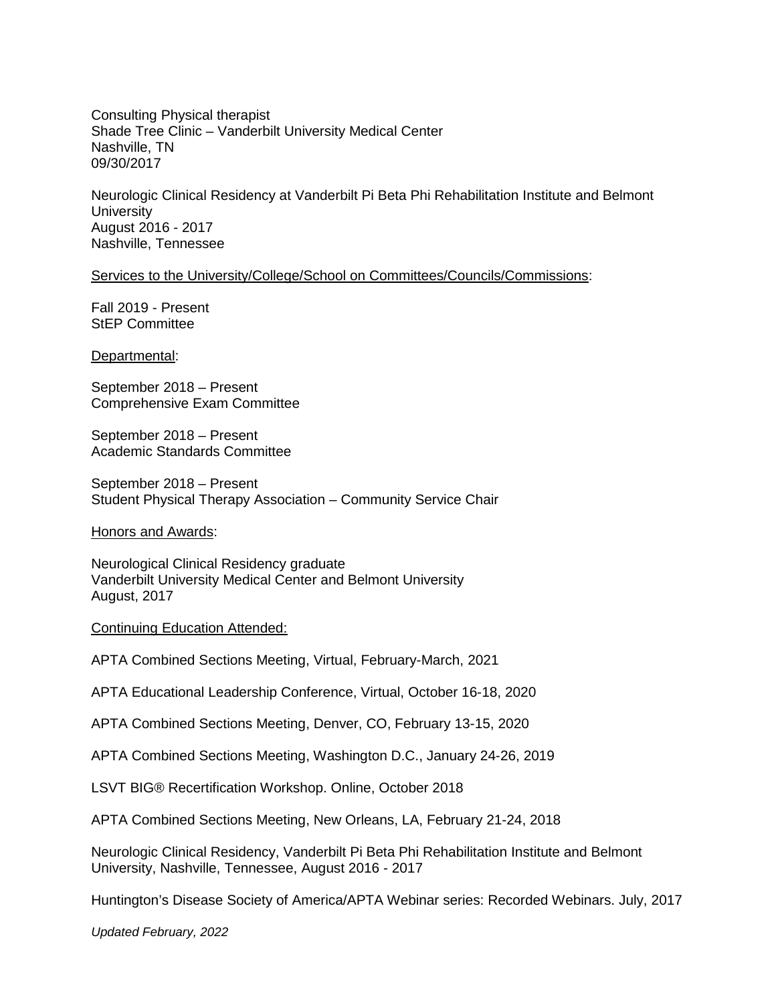Consulting Physical therapist Shade Tree Clinic – Vanderbilt University Medical Center Nashville, TN 09/30/2017

Neurologic Clinical Residency at Vanderbilt Pi Beta Phi Rehabilitation Institute and Belmont **University** August 2016 - 2017 Nashville, Tennessee

Services to the University/College/School on Committees/Councils/Commissions:

Fall 2019 - Present StEP Committee

Departmental:

September 2018 – Present Comprehensive Exam Committee

September 2018 – Present Academic Standards Committee

September 2018 – Present Student Physical Therapy Association – Community Service Chair

Honors and Awards:

Neurological Clinical Residency graduate Vanderbilt University Medical Center and Belmont University August, 2017

Continuing Education Attended:

APTA Combined Sections Meeting, Virtual, February-March, 2021

APTA Educational Leadership Conference, Virtual, October 16-18, 2020

APTA Combined Sections Meeting, Denver, CO, February 13-15, 2020

APTA Combined Sections Meeting, Washington D.C., January 24-26, 2019

LSVT BIG® Recertification Workshop. Online, October 2018

APTA Combined Sections Meeting, New Orleans, LA, February 21-24, 2018

Neurologic Clinical Residency, Vanderbilt Pi Beta Phi Rehabilitation Institute and Belmont University, Nashville, Tennessee, August 2016 - 2017

Huntington's Disease Society of America/APTA Webinar series: Recorded Webinars. July, 2017